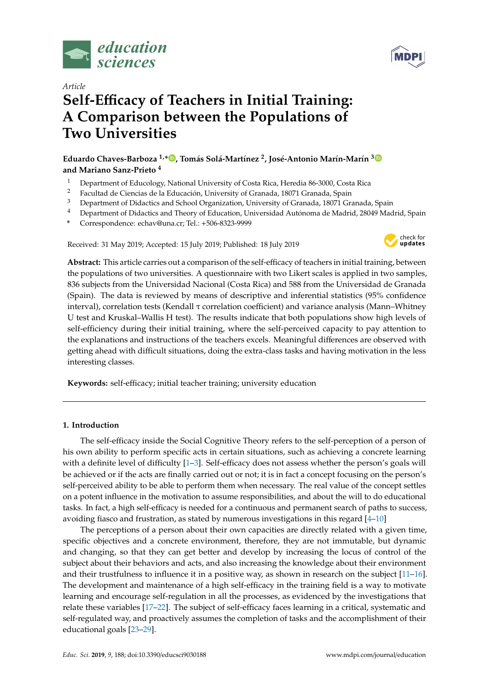



# *Article* **Self-E**ffi**cacy of Teachers in Initial Training: A Comparison between the Populations of Two Universities**

**Eduardo Chaves-Barboza 1,[\\*](https://orcid.org/0000-0003-2472-1016) , Tomás Solá-Martínez <sup>2</sup> , José-Antonio Marín-Marín [3](https://orcid.org/0000-0001-8623-4796) and Mariano Sanz-Prieto <sup>4</sup>**

- <sup>1</sup> Department of Educology, National University of Costa Rica, Heredia 86-3000, Costa Rica<br><sup>2</sup> Equals de Cioneias de la Educación, University of Cranada, 18071 Cranada, Spain
- <sup>2</sup> Facultad de Ciencias de la Educación, University of Granada, 18071 Granada, Spain <sup>3</sup> Department of Didactics and School Organization, University of Granada, 18071 Gra
- <sup>3</sup> Department of Didactics and School Organization, University of Granada, 18071 Granada, Spain
- <sup>4</sup> Department of Didactics and Theory of Education, Universidad Autónoma de Madrid, 28049 Madrid, Spain
- **\*** Correspondence: echav@una.cr; Tel.: +506-8323-9999

Received: 31 May 2019; Accepted: 15 July 2019; Published: 18 July 2019



**Abstract:** This article carries out a comparison of the self-efficacy of teachers in initial training, between the populations of two universities. A questionnaire with two Likert scales is applied in two samples, 836 subjects from the Universidad Nacional (Costa Rica) and 588 from the Universidad de Granada (Spain). The data is reviewed by means of descriptive and inferential statistics (95% confidence interval), correlation tests (Kendall  $\tau$  correlation coefficient) and variance analysis (Mann–Whitney U test and Kruskal–Wallis H test). The results indicate that both populations show high levels of self-efficiency during their initial training, where the self-perceived capacity to pay attention to the explanations and instructions of the teachers excels. Meaningful differences are observed with getting ahead with difficult situations, doing the extra-class tasks and having motivation in the less interesting classes.

**Keywords:** self-efficacy; initial teacher training; university education

### **1. Introduction**

The self-efficacy inside the Social Cognitive Theory refers to the self-perception of a person of his own ability to perform specific acts in certain situations, such as achieving a concrete learning with a definite level of difficulty [\[1](#page-10-0)[–3\]](#page-10-1). Self-efficacy does not assess whether the person's goals will be achieved or if the acts are finally carried out or not; it is in fact a concept focusing on the person's self-perceived ability to be able to perform them when necessary. The real value of the concept settles on a potent influence in the motivation to assume responsibilities, and about the will to do educational tasks. In fact, a high self-efficacy is needed for a continuous and permanent search of paths to success, avoiding fiasco and frustration, as stated by numerous investigations in this regard  $[4-10]$  $[4-10]$ 

The perceptions of a person about their own capacities are directly related with a given time, specific objectives and a concrete environment, therefore, they are not immutable, but dynamic and changing, so that they can get better and develop by increasing the locus of control of the subject about their behaviors and acts, and also increasing the knowledge about their environment and their trustfulness to influence it in a positive way, as shown in research on the subject [\[11–](#page-10-4)[16\]](#page-10-5). The development and maintenance of a high self-efficacy in the training field is a way to motivate learning and encourage self-regulation in all the processes, as evidenced by the investigations that relate these variables [\[17–](#page-10-6)[22\]](#page-10-7). The subject of self-efficacy faces learning in a critical, systematic and self-regulated way, and proactively assumes the completion of tasks and the accomplishment of their educational goals [\[23](#page-11-0)[–29\]](#page-11-1).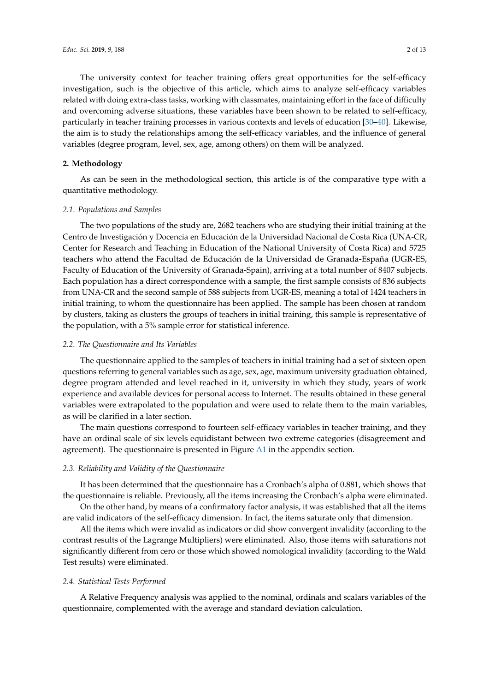The university context for teacher training offers great opportunities for the self-efficacy investigation, such is the objective of this article, which aims to analyze self-efficacy variables related with doing extra-class tasks, working with classmates, maintaining effort in the face of difficulty and overcoming adverse situations, these variables have been shown to be related to self-efficacy, particularly in teacher training processes in various contexts and levels of education [\[30–](#page-11-2)[40\]](#page-11-3). Likewise, the aim is to study the relationships among the self-efficacy variables, and the influence of general variables (degree program, level, sex, age, among others) on them will be analyzed.

#### **2. Methodology**

As can be seen in the methodological section, this article is of the comparative type with a quantitative methodology.

#### *2.1. Populations and Samples*

The two populations of the study are, 2682 teachers who are studying their initial training at the Centro de Investigación y Docencia en Educación de la Universidad Nacional de Costa Rica (UNA-CR, Center for Research and Teaching in Education of the National University of Costa Rica) and 5725 teachers who attend the Facultad de Educación de la Universidad de Granada-España (UGR-ES, Faculty of Education of the University of Granada-Spain), arriving at a total number of 8407 subjects. Each population has a direct correspondence with a sample, the first sample consists of 836 subjects from UNA-CR and the second sample of 588 subjects from UGR-ES, meaning a total of 1424 teachers in initial training, to whom the questionnaire has been applied. The sample has been chosen at random by clusters, taking as clusters the groups of teachers in initial training, this sample is representative of the population, with a 5% sample error for statistical inference.

#### *2.2. The Questionnaire and Its Variables*

The questionnaire applied to the samples of teachers in initial training had a set of sixteen open questions referring to general variables such as age, sex, age, maximum university graduation obtained, degree program attended and level reached in it, university in which they study, years of work experience and available devices for personal access to Internet. The results obtained in these general variables were extrapolated to the population and were used to relate them to the main variables, as will be clarified in a later section.

The main questions correspond to fourteen self-efficacy variables in teacher training, and they have an ordinal scale of six levels equidistant between two extreme categories (disagreement and agreement). The questionnaire is presented in Figure [A1](#page-9-0) in the appendix section.

#### *2.3. Reliability and Validity of the Questionnaire*

It has been determined that the questionnaire has a Cronbach's alpha of 0.881, which shows that the questionnaire is reliable. Previously, all the items increasing the Cronbach's alpha were eliminated.

On the other hand, by means of a confirmatory factor analysis, it was established that all the items are valid indicators of the self-efficacy dimension. In fact, the items saturate only that dimension.

All the items which were invalid as indicators or did show convergent invalidity (according to the contrast results of the Lagrange Multipliers) were eliminated. Also, those items with saturations not significantly different from cero or those which showed nomological invalidity (according to the Wald Test results) were eliminated.

#### *2.4. Statistical Tests Performed*

A Relative Frequency analysis was applied to the nominal, ordinals and scalars variables of the questionnaire, complemented with the average and standard deviation calculation.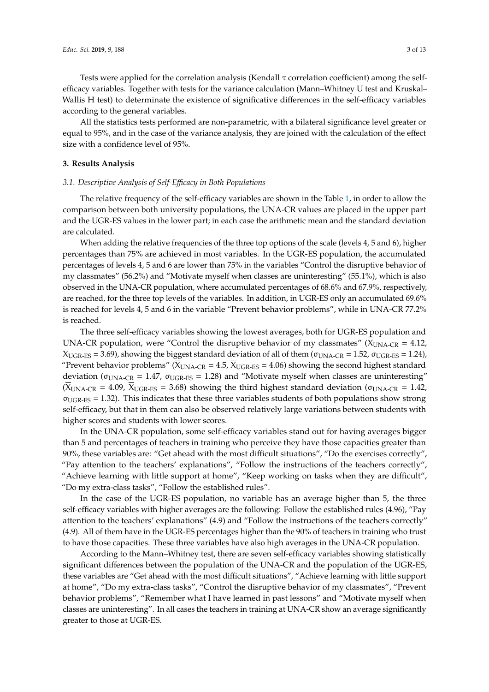Tests were applied for the correlation analysis (Kendall  $\tau$  correlation coefficient) among the selfefficacy variables. Together with tests for the variance calculation (Mann–Whitney U test and Kruskal– Wallis H test) to determinate the existence of significative differences in the self-efficacy variables according to the general variables.

All the statistics tests performed are non-parametric, with a bilateral significance level greater or equal to 95%, and in the case of the variance analysis, they are joined with the calculation of the effect size with a confidence level of 95%.

#### **3. Results Analysis**

#### *3.1. Descriptive Analysis of Self-E*ffi*cacy in Both Populations*

The relative frequency of the self-efficacy variables are shown in the Table [1,](#page-3-0) in order to allow the comparison between both university populations, the UNA-CR values are placed in the upper part and the UGR-ES values in the lower part; in each case the arithmetic mean and the standard deviation are calculated.

When adding the relative frequencies of the three top options of the scale (levels 4, 5 and 6), higher percentages than 75% are achieved in most variables. In the UGR-ES population, the accumulated percentages of levels 4, 5 and 6 are lower than 75% in the variables "Control the disruptive behavior of my classmates" (56.2%) and "Motivate myself when classes are uninteresting" (55.1%), which is also observed in the UNA-CR population, where accumulated percentages of 68.6% and 67.9%, respectively, are reached, for the three top levels of the variables. In addition, in UGR-ES only an accumulated 69.6% is reached for levels 4, 5 and 6 in the variable "Prevent behavior problems", while in UNA-CR 77.2% is reached.

The three self-efficacy variables showing the lowest averages, both for UGR-ES population and UNA-CR population, were "Control the disruptive behavior of my classmates" ( $X<sub>UNA-CR</sub> = 4.12$ ,  $X_{UGR-ES} = 3.69$ ), showing the biggest standard deviation of all of them ( $\sigma_{UNA-CR} = 1.52$ ,  $\sigma_{UGR-ES} = 1.24$ ), "Prevent behavior problems" ( $\overline{X}_{UNA-CR}$  = 4.5,  $\overline{X}_{UGR-ES}$  = 4.06) showing the second highest standard deviation ( $\sigma_{UNA-CR}$  = 1.47,  $\sigma_{UGR-ES}$  = 1.28) and "Motivate myself when classes are uninteresting" ( $X<sub>UNA-CR</sub> = 4.09$ ,  $X<sub>UGR-ES</sub> = 3.68$ ) showing the third highest standard deviation ( $\sigma<sub>UNA-CR</sub> = 1.42$ ,  $\sigma_{\text{UGR-ES}}$  = 1.32). This indicates that these three variables students of both populations show strong self-efficacy, but that in them can also be observed relatively large variations between students with higher scores and students with lower scores.

In the UNA-CR population, some self-efficacy variables stand out for having averages bigger than 5 and percentages of teachers in training who perceive they have those capacities greater than 90%, these variables are: "Get ahead with the most difficult situations", "Do the exercises correctly", "Pay attention to the teachers' explanations", "Follow the instructions of the teachers correctly", "Achieve learning with little support at home", "Keep working on tasks when they are difficult", "Do my extra-class tasks", "Follow the established rules".

In the case of the UGR-ES population, no variable has an average higher than 5, the three self-efficacy variables with higher averages are the following: Follow the established rules (4.96), "Pay attention to the teachers' explanations" (4.9) and "Follow the instructions of the teachers correctly" (4.9). All of them have in the UGR-ES percentages higher than the 90% of teachers in training who trust to have those capacities. These three variables have also high averages in the UNA-CR population.

According to the Mann–Whitney test, there are seven self-efficacy variables showing statistically significant differences between the population of the UNA-CR and the population of the UGR-ES, these variables are "Get ahead with the most difficult situations", "Achieve learning with little support at home", "Do my extra-class tasks", "Control the disruptive behavior of my classmates", "Prevent behavior problems", "Remember what I have learned in past lessons" and "Motivate myself when classes are uninteresting". In all cases the teachers in training at UNA-CR show an average significantly greater to those at UGR-ES.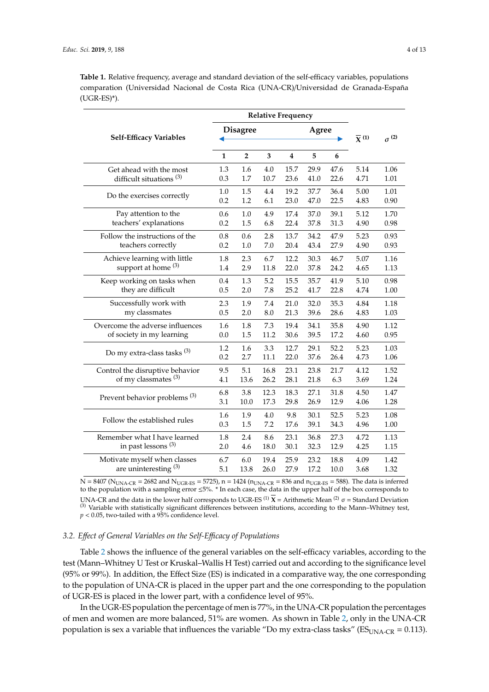<span id="page-3-0"></span>Table 1. Relative frequency, average and standard deviation of the self-efficacy variables, populations comparation (Universidad Nacional de Costa Rica (UNA-CR)/Universidad de Granada-España  $(UGR-ES)^{*}).$  $\sum_{i=1}^n$ 

|                                          | <b>Relative Frequency</b> |                |         |       |      |      |                       |                |  |
|------------------------------------------|---------------------------|----------------|---------|-------|------|------|-----------------------|----------------|--|
|                                          | <b>Disagree</b>           |                |         | Agree |      |      |                       |                |  |
| <b>Self-Efficacy Variables</b>           |                           |                |         |       |      |      | $\overline{\chi}$ (1) | $\sigma^{(2)}$ |  |
|                                          | $\mathbf{1}$              | $\overline{2}$ | 3       | 4     | 5    | 6    |                       |                |  |
| Get ahead with the most                  | 1.3                       | 1.6            | 4.0     | 15.7  | 29.9 | 47.6 | 5.14                  | 1.06           |  |
| difficult situations <sup>(3)</sup>      | 0.3                       | 1.7            | 10.7    | 23.6  | 41.0 | 22.6 | 4.71                  | 1.01           |  |
|                                          | 1.0                       | 1.5            | 4.4     | 19.2  | 37.7 | 36.4 | 5.00                  | 1.01           |  |
| Do the exercises correctly               | 0.2                       | 1.2            | 6.1     | 23.0  | 47.0 | 22.5 | 4.83                  | 0.90           |  |
| Pay attention to the                     | 0.6                       | 1.0            | 4.9     | 17.4  | 37.0 | 39.1 | 5.12                  | 1.70           |  |
| teachers' explanations                   | 0.2                       | 1.5            | 6.8     | 22.4  | 37.8 | 31.3 | 4.90                  | 0.98           |  |
| Follow the instructions of the           | 0.8                       | 0.6            | 2.8     | 13.7  | 34.2 | 47.9 | 5.23                  | 0.93           |  |
| teachers correctly                       | 0.2                       | 1.0            | 7.0     | 20.4  | 43.4 | 27.9 | 4.90                  | 0.93           |  |
| Achieve learning with little             | 1.8                       | 2.3            | 6.7     | 12.2  | 30.3 | 46.7 | 5.07                  | 1.16           |  |
| support at home (3)                      | 1.4                       | 2.9            | 11.8    | 22.0  | 37.8 | 24.2 | 4.65                  | 1.13           |  |
| Keep working on tasks when               | 0.4                       | 1.3            | 5.2     | 15.5  | 35.7 | 41.9 | 5.10                  | 0.98           |  |
| they are difficult                       | 0.5                       | 2.0            | 7.8     | 25.2  | 41.7 | 22.8 | 4.74                  | 1.00           |  |
| Successfully work with                   | 2.3                       | 1.9            | 7.4     | 21.0  | 32.0 | 35.3 | 4.84                  | 1.18           |  |
| my classmates                            | 0.5                       | 2.0            | $8.0\,$ | 21.3  | 39.6 | 28.6 | 4.83                  | 1.03           |  |
| Overcome the adverse influences          | 1.6                       | 1.8            | 7.3     | 19.4  | 34.1 | 35.8 | 4.90                  | 1.12           |  |
| of society in my learning                | 0.0                       | 1.5            | 11.2    | 30.6  | 39.5 | 17.2 | 4.60                  | 0.95           |  |
|                                          | 1.2                       | 1.6            | 3.3     | 12.7  | 29.1 | 52.2 | 5.23                  | 1.03           |  |
| Do my extra-class tasks <sup>(3)</sup>   | 0.2                       | 2.7            | 11.1    | 22.0  | 37.6 | 26.4 | 4.73                  | 1.06           |  |
| Control the disruptive behavior          | 9.5                       | 5.1            | 16.8    | 23.1  | 23.8 | 21.7 | 4.12                  | 1.52           |  |
| of my classmates $(3)$                   | 4.1                       | 13.6           | 26.2    | 28.1  | 21.8 | 6.3  | 3.69                  | 1.24           |  |
|                                          | 6.8                       | 3.8            | 12.3    | 18.3  | 27.1 | 31.8 | 4.50                  | 1.47           |  |
| Prevent behavior problems <sup>(3)</sup> | 3.1                       | 10.0           | 17.3    | 29.8  | 26.9 | 12.9 | 4.06                  | 1.28           |  |
|                                          | 1.6                       | 1.9            | 4.0     | 9.8   | 30.1 | 52.5 | 5.23                  | 1.08           |  |
| Follow the established rules             | 0.3                       | 1.5            | 7.2     | 17.6  | 39.1 | 34.3 | 4.96                  | 1.00           |  |
| Remember what I have learned             | 1.8                       | 2.4            | 8.6     | 23.1  | 36.8 | 27.3 | 4.72                  | 1.13           |  |
| in past lessons <sup>(3)</sup>           | 2.0                       | 4.6            | 18.0    | 30.1  | 32.3 | 12.9 | 4.25                  | 1.15           |  |
| Motivate myself when classes             | 6.7                       | 6.0            | 19.4    | 25.9  | 23.2 | 18.8 | 4.09                  | 1.42           |  |
| are uninteresting $(3)$                  | 5.1                       | 13.8           | 26.0    | 27.9  | 17.2 | 10.0 | 3.68                  | 1.32           |  |

 $N = 8407 (N_{\text{UNA-CR}} = 2682 \text{ and } N_{\text{UGR-ES}} = 5725)$ , n = 1424 ( $n_{\text{UNA-CR}} = 836 \text{ and } n_{\text{UGR-ES}} = 588$ ). The data is inferred to the population with a sampling error ≤5%. \* In each case, the data in the upper half of the box corresponds to UNA-CR and the data in the lower half corresponds to UGR-ES <sup>(1)</sup>  $\bar{X}$  = Arithmetic Mean <sup>(2)</sup>  $\sigma$  = Standard Deviation <sup>(3)</sup> Variable with statistically significant differences between institutions, according to the Mann–Whitney test,  $p < 0.05$ , two-tailed with a 95% confidence level.

## *3.2. E*ff*ect of General Variables on the Self-E*ffi*cacy of Populations*

Table [2](#page-5-0) shows the influence of the general variables on the self-efficacy variables, according to the test (Mann–Whitney U Test or Kruskal–Wallis H Test) carried out and according to the significance level (95% or 99%). In addition, the Effect Size (ES) is indicated in a comparative way, the one corresponding to the population of UNA-CR is placed in the upper part and the one corresponding to the population of UGR-ES is placed in the lower part, with a confidence level of 95%.

In the UGR-ES population the percentage of men is 77%, in the UNA-CR population the percentages of men and women are more balanced, 51% are women. As shown in Table [2,](#page-5-0) only in the UNA-CR population is sex a variable that influences the variable "Do my extra-class tasks" ( $ES<sub>UNA-CR</sub> = 0.113$ ).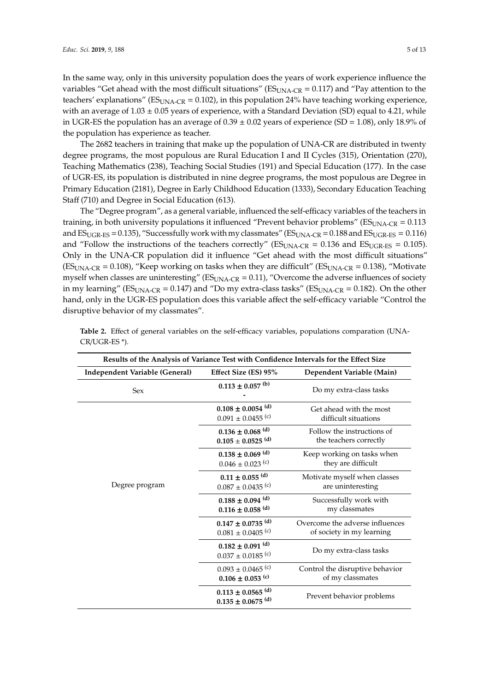In the same way, only in this university population does the years of work experience influence the variables "Get ahead with the most difficult situations" ( $ES<sub>UNA-CR</sub> = 0.117$ ) and "Pay attention to the teachers' explanations" ( $ES<sub>UNA-CR</sub> = 0.102$ ), in this population 24% have teaching working experience, with an average of  $1.03 \pm 0.05$  years of experience, with a Standard Deviation (SD) equal to 4.21, while in UGR-ES the population has an average of  $0.39 \pm 0.02$  years of experience (SD = 1.08), only 18.9% of the population has experience as teacher.

The 2682 teachers in training that make up the population of UNA-CR are distributed in twenty degree programs, the most populous are Rural Education I and II Cycles (315), Orientation (270), Teaching Mathematics (238), Teaching Social Studies (191) and Special Education (177). In the case of UGR-ES, its population is distributed in nine degree programs, the most populous are Degree in Primary Education (2181), Degree in Early Childhood Education (1333), Secondary Education Teaching Staff (710) and Degree in Social Education (613).

The "Degree program", as a general variable, influenced the self-efficacy variables of the teachers in training, in both university populations it influenced "Prevent behavior problems" ( $ES<sub>UNA-CR</sub> = 0.113$ ) and  $ES<sub>UGR-ES</sub> = 0.135)$ , "Successfully work with my classmates" ( $ES<sub>UNA-CR</sub> = 0.188$  and  $ES<sub>UGR-ES</sub> = 0.116$ ) and "Follow the instructions of the teachers correctly" ( $ES<sub>UNA-CR</sub> = 0.136$  and  $ES<sub>UGR-ES</sub> = 0.105$ ). Only in the UNA-CR population did it influence "Get ahead with the most difficult situations"  $(ES<sub>UNA-CR</sub> = 0.108)$ , "Keep working on tasks when they are difficult"  $(ES<sub>UNA-CR</sub> = 0.138)$ , "Motivate myself when classes are uninteresting" ( $ES<sub>UNA-CR</sub> = 0.11$ ), "Overcome the adverse influences of society in my learning" ( $ES<sub>UNA-CR</sub> = 0.147$ ) and "Do my extra-class tasks" ( $ES<sub>UNA-CR</sub> = 0.182$ ). On the other hand, only in the UGR-ES population does this variable affect the self-efficacy variable "Control the disruptive behavior of my classmates".

| Results of the Analysis of Variance Test with Confidence Intervals for the Effect Size |                                                                        |                                                              |  |  |  |  |  |  |
|----------------------------------------------------------------------------------------|------------------------------------------------------------------------|--------------------------------------------------------------|--|--|--|--|--|--|
| Independent Variable (General)                                                         | Effect Size (ES) 95%                                                   | Dependent Variable (Main)                                    |  |  |  |  |  |  |
| <b>Sex</b>                                                                             | $0.113 \pm 0.057$ <sup>(b)</sup>                                       | Do my extra-class tasks                                      |  |  |  |  |  |  |
|                                                                                        | $0.108 \pm 0.0054$ <sup>(d)</sup><br>$0.091 \pm 0.0455$ <sup>(c)</sup> | Get ahead with the most<br>difficult situations              |  |  |  |  |  |  |
|                                                                                        | $0.136 \pm 0.068$ <sup>(d)</sup><br>$0.105 \pm 0.0525$ <sup>(d)</sup>  | Follow the instructions of<br>the teachers correctly         |  |  |  |  |  |  |
|                                                                                        | $0.138 \pm 0.069$ <sup>(d)</sup><br>$0.046 \pm 0.023$ <sup>(c)</sup>   | Keep working on tasks when<br>they are difficult             |  |  |  |  |  |  |
| Degree program                                                                         | $0.11 \pm 0.055$ <sup>(d)</sup><br>$0.087 \pm 0.0435$ <sup>(c)</sup>   | Motivate myself when classes<br>are uninteresting            |  |  |  |  |  |  |
|                                                                                        | $0.188 \pm 0.094$ <sup>(d)</sup><br>$0.116 \pm 0.058$ <sup>(d)</sup>   | Successfully work with<br>my classmates                      |  |  |  |  |  |  |
|                                                                                        | $0.147 \pm 0.0735$ <sup>(d)</sup><br>$0.081 \pm 0.0405$ <sup>(c)</sup> | Overcome the adverse influences<br>of society in my learning |  |  |  |  |  |  |
|                                                                                        | $0.182 \pm 0.091$ <sup>(d)</sup><br>$0.037 \pm 0.0185$ <sup>(c)</sup>  | Do my extra-class tasks                                      |  |  |  |  |  |  |
|                                                                                        | $0.093 \pm 0.0465$ <sup>(c)</sup><br>$0.106 \pm 0.053$ <sup>(c)</sup>  | Control the disruptive behavior<br>of my classmates          |  |  |  |  |  |  |
|                                                                                        | $0.113 \pm 0.0565$ <sup>(d)</sup><br>$0.135 \pm 0.0675$ <sup>(d)</sup> | Prevent behavior problems                                    |  |  |  |  |  |  |

**Table 2.** Effect of general variables on the self-efficacy variables, populations comparation (UNA-CR/UGR-ES \*).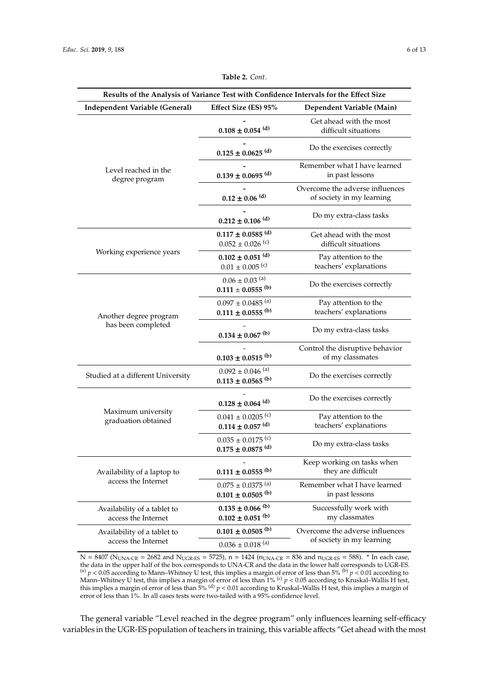<span id="page-5-0"></span>

| Results of the Analysis of Variance Test with Confidence Intervals for the Effect Size |                                                                        |                                                              |  |  |  |  |  |  |
|----------------------------------------------------------------------------------------|------------------------------------------------------------------------|--------------------------------------------------------------|--|--|--|--|--|--|
| <b>Independent Variable (General)</b>                                                  | Effect Size (ES) 95%                                                   | Dependent Variable (Main)                                    |  |  |  |  |  |  |
|                                                                                        | $0.108 \pm 0.054$ <sup>(d)</sup>                                       | Get ahead with the most<br>difficult situations              |  |  |  |  |  |  |
|                                                                                        | $0.125 \pm 0.0625$ <sup>(d)</sup>                                      | Do the exercises correctly                                   |  |  |  |  |  |  |
| Level reached in the<br>degree program                                                 | $0.139 \pm 0.0695$ <sup>(d)</sup>                                      | Remember what I have learned<br>in past lessons              |  |  |  |  |  |  |
|                                                                                        | $0.12 \pm 0.06$ <sup>(d)</sup>                                         | Overcome the adverse influences<br>of society in my learning |  |  |  |  |  |  |
|                                                                                        | $0.212 \pm 0.106$ <sup>(d)</sup>                                       | Do my extra-class tasks                                      |  |  |  |  |  |  |
| Working experience years                                                               | $0.117 \pm 0.0585$ <sup>(d)</sup><br>$0.052 \pm 0.026$ <sup>(c)</sup>  | Get ahead with the most<br>difficult situations              |  |  |  |  |  |  |
|                                                                                        | $0.102 \pm 0.051$ <sup>(d)</sup><br>$0.01 \pm 0.005$ <sup>(c)</sup>    | Pay attention to the<br>teachers' explanations               |  |  |  |  |  |  |
| Another degree program<br>has been completed                                           | $0.06 \pm 0.03$ <sup>(a)</sup><br>$0.111 \pm 0.0555$ $^{\rm (b)}$      | Do the exercises correctly                                   |  |  |  |  |  |  |
|                                                                                        | $0.097 \pm 0.0485$ <sup>(a)</sup><br>$0.111 \pm 0.0555$ <sup>(b)</sup> | Pay attention to the<br>teachers' explanations               |  |  |  |  |  |  |
|                                                                                        | $0.134 \pm 0.067$ <sup>(b)</sup>                                       | Do my extra-class tasks                                      |  |  |  |  |  |  |
|                                                                                        | $0.103 \pm 0.0515$ <sup>(b)</sup>                                      | Control the disruptive behavior<br>of my classmates          |  |  |  |  |  |  |
| Studied at a different University                                                      | $0.092 \pm 0.046$ <sup>(a)</sup><br>$0.113 \pm 0.0565$ <sup>(b)</sup>  | Do the exercises correctly                                   |  |  |  |  |  |  |
|                                                                                        | $0.128 \pm 0.064$ <sup>(d)</sup>                                       | Do the exercises correctly                                   |  |  |  |  |  |  |
| Maximum university<br>graduation obtained                                              | $0.041 \pm 0.0205$ <sup>(c)</sup><br>$0.114 \pm 0.057$ <sup>(d)</sup>  | Pay attention to the<br>teachers' explanations               |  |  |  |  |  |  |
|                                                                                        | $0.035 \pm 0.0175$ <sup>(c)</sup><br>$0.175 \pm 0.0875$ <sup>(d)</sup> | Do my extra-class tasks                                      |  |  |  |  |  |  |
| Availability of a laptop to                                                            | $0.111 \pm 0.0555$ <sup>(b)</sup>                                      | Keep working on tasks when<br>they are difficult             |  |  |  |  |  |  |
| access the Internet                                                                    | $0.075 \pm 0.0375$ <sup>(a)</sup><br>$0.101 \pm 0.0505$ <sup>(b)</sup> | Remember what I have learned<br>in past lessons              |  |  |  |  |  |  |
| Availability of a tablet to<br>access the Internet                                     | $0.135 \pm 0.066$ <sup>(b)</sup><br>$0.102 \pm 0.051$ <sup>(b)</sup>   | Successfully work with<br>my classmates                      |  |  |  |  |  |  |
| Availability of a tablet to                                                            | $0.101 \pm 0.0505$ <sup>(b)</sup>                                      | Overcome the adverse influences                              |  |  |  |  |  |  |
| access the Internet                                                                    | $0.036 \pm 0.018$ <sup>(a)</sup>                                       | of society in my learning                                    |  |  |  |  |  |  |

**Table 2.** *Cont*.

 $N = 8407$  ( $N_{UNA-CR} = 2682$  and  $N_{UGR-ES} = 5725$ ), n = 1424 ( $n_{UNA-CR} = 836$  and  $n_{UGR-ES} = 588$ ).  $*$  In each case, the data in the upper half of the box corresponds to UNA-CR and the data in the lower half corresponds to UGR-ES. (a)  $p < 0.05$  according to Mann–Whitney U test, this implies a margin of error of less than 5% <sup>(b)</sup>  $p < 0.01$  according to Mann–Whitney U test, this implies a margin of error of less than 1% (c) *p* < 0.05 according to Kruskal–Wallis H test, this implies a margin of error of less than 5% (d) *p* < 0.01 according to Kruskal–Wallis H test, this implies a margin of error of less than 1%. In all cases tests were two-tailed with a 95% confidence level.

The general variable "Level reached in the degree program" only influences learning self-efficacy variables in the UGR-ES population of teachers in training, this variable affects "Get ahead with the most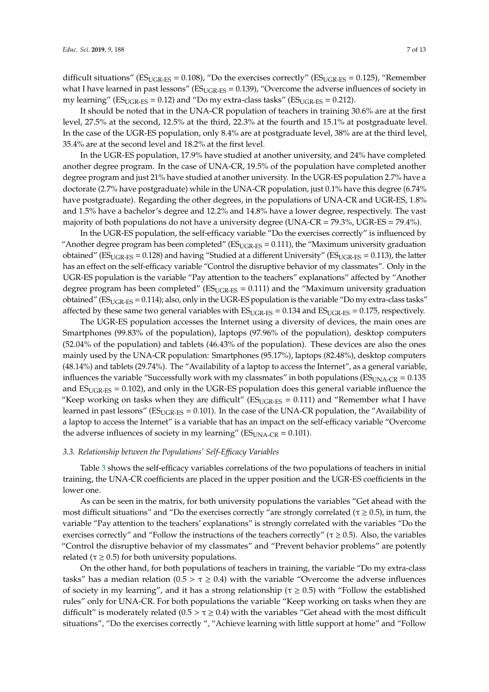difficult situations" ( $ES_{UGR-ES} = 0.108$ ), "Do the exercises correctly" ( $ES_{UGR-ES} = 0.125$ ), "Remember what I have learned in past lessons" ( $ES_{UGR-ES} = 0.139$ ), "Overcome the adverse influences of society in my learning" ( $ES_{UGR-ES} = 0.12$ ) and "Do my extra-class tasks" ( $ES_{UGR-ES} = 0.212$ ).

It should be noted that in the UNA-CR population of teachers in training 30.6% are at the first level, 27.5% at the second, 12.5% at the third, 22.3% at the fourth and 15.1% at postgraduate level. In the case of the UGR-ES population, only 8.4% are at postgraduate level, 38% are at the third level, 35.4% are at the second level and 18.2% at the first level.

In the UGR-ES population, 17.9% have studied at another university, and 24% have completed another degree program. In the case of UNA-CR, 19.5% of the population have completed another degree program and just 21% have studied at another university. In the UGR-ES population 2.7% have a doctorate (2.7% have postgraduate) while in the UNA-CR population, just 0.1% have this degree (6.74% have postgraduate). Regarding the other degrees, in the populations of UNA-CR and UGR-ES, 1.8% and 1.5% have a bachelor's degree and 12.2% and 14.8% have a lower degree, respectively. The vast majority of both populations do not have a university degree (UNA-CR =  $79.3\%$ , UGR-ES =  $79.4\%$ ).

In the UGR-ES population, the self-efficacy variable "Do the exercises correctly" is influenced by "Another degree program has been completed" ( $ES_{UGR-ES} = 0.111$ ), the "Maximum university graduation obtained" ( $ES_{UGR-ES} = 0.128$ ) and having "Studied at a different University" ( $ES_{UGR-ES} = 0.113$ ), the latter has an effect on the self-efficacy variable "Control the disruptive behavior of my classmates". Only in the UGR-ES population is the variable "Pay attention to the teachers" explanations" affected by "Another degree program has been completed" ( $ES_{UGR-ES} = 0.111$ ) and the "Maximum university graduation obtained" ( $ES<sub>UGR-ES</sub> = 0.114$ ); also, only in the UGR-ES population is the variable "Do my extra-class tasks" affected by these same two general variables with  $ES_{UGR-ES} = 0.134$  and  $ES_{UGR-ES} = 0.175$ , respectively.

The UGR-ES population accesses the Internet using a diversity of devices, the main ones are Smartphones (99.83% of the population), laptops (97.96% of the population), desktop computers (52.04% of the population) and tablets (46.43% of the population). These devices are also the ones mainly used by the UNA-CR population: Smartphones (95.17%), laptops (82.48%), desktop computers (48.14%) and tablets (29.74%). The "Availability of a laptop to access the Internet", as a general variable, influences the variable "Successfully work with my classmates" in both populations ( $ES<sub>UNA-CR</sub> = 0.135$ ) and  $ES<sub>UGR-ES</sub> = 0.102$ ), and only in the UGR-ES population does this general variable influence the "Keep working on tasks when they are difficult" ( $ES_{UGR-ES} = 0.111$ ) and "Remember what I have learned in past lessons" ( $ES<sub>UGR-ES</sub> = 0.101$ ). In the case of the UNA-CR population, the "Availability of a laptop to access the Internet" is a variable that has an impact on the self-efficacy variable "Overcome the adverse influences of society in my learning" ( $ES<sub>UNA-CR</sub> = 0.101$ ).

#### *3.3. Relationship between the Populations' Self-E*ffi*cacy Variables*

Table [3](#page-7-0) shows the self-efficacy variables correlations of the two populations of teachers in initial training, the UNA-CR coefficients are placed in the upper position and the UGR-ES coefficients in the lower one.

As can be seen in the matrix, for both university populations the variables "Get ahead with the most difficult situations" and "Do the exercises correctly "are strongly correlated ( $\tau \ge 0.5$ ), in turn, the variable "Pay attention to the teachers' explanations" is strongly correlated with the variables "Do the exercises correctly" and "Follow the instructions of the teachers correctly" ( $\tau \ge 0.5$ ). Also, the variables "Control the disruptive behavior of my classmates" and "Prevent behavior problems" are potently related ( $\tau \geq 0.5$ ) for both university populations.

On the other hand, for both populations of teachers in training, the variable "Do my extra-class tasks" has a median relation ( $0.5 > \tau \ge 0.4$ ) with the variable "Overcome the adverse influences of society in my learning", and it has a strong relationship (τ ≥ 0.5) with "Follow the established rules" only for UNA-CR. For both populations the variable "Keep working on tasks when they are difficult" is moderately related (0.5  $> \tau \ge 0.4$ ) with the variables "Get ahead with the most difficult situations", "Do the exercises correctly ", "Achieve learning with little support at home" and "Follow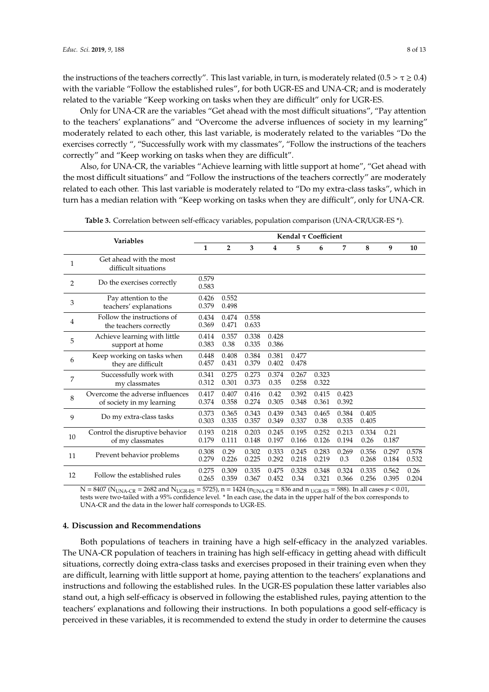the instructions of the teachers correctly". This last variable, in turn, is moderately related (0.5 >  $\tau \ge 0.4$ ) with the variable "Follow the established rules", for both UGR-ES and UNA-CR; and is moderately related to the variable "Keep working on tasks when they are difficult" only for UGR-ES.

Only for UNA-CR are the variables "Get ahead with the most difficult situations", "Pay attention to the teachers' explanations" and "Overcome the adverse influences of society in my learning" moderately related to each other, this last variable, is moderately related to the variables "Do the exercises correctly ", "Successfully work with my classmates", "Follow the instructions of the teachers correctly" and "Keep working on tasks when they are difficult".

Also, for UNA-CR, the variables "Achieve learning with little support at home", "Get ahead with the most difficult situations" and "Follow the instructions of the teachers correctly" are moderately related to each other. This last variable is moderately related to "Do my extra-class tasks", which in turn has a median relation with "Keep working on tasks when they are difficult", only for UNA-CR.

<span id="page-7-0"></span>

| <b>Variables</b> |                                                              | Kendal τ Coefficient |                |                |                |                |                |                |                |                |                |  |
|------------------|--------------------------------------------------------------|----------------------|----------------|----------------|----------------|----------------|----------------|----------------|----------------|----------------|----------------|--|
|                  |                                                              | 1                    | $\overline{2}$ | 3              | 4              | 5              | 6              | 7              | 8              | 9              | 10             |  |
| 1                | Get ahead with the most<br>difficult situations              |                      |                |                |                |                |                |                |                |                |                |  |
| $\overline{2}$   | Do the exercises correctly                                   | 0.579<br>0.583       |                |                |                |                |                |                |                |                |                |  |
| 3                | Pay attention to the<br>teachers' explanations               | 0.426<br>0.379       | 0.552<br>0.498 |                |                |                |                |                |                |                |                |  |
| 4                | Follow the instructions of<br>the teachers correctly         | 0.434<br>0.369       | 0.474<br>0.471 | 0.558<br>0.633 |                |                |                |                |                |                |                |  |
| 5                | Achieve learning with little<br>support at home              | 0.414<br>0.383       | 0.357<br>0.38  | 0.338<br>0.335 | 0.428<br>0.386 |                |                |                |                |                |                |  |
| 6                | Keep working on tasks when<br>they are difficult             | 0.448<br>0.457       | 0.408<br>0.431 | 0.384<br>0.379 | 0.381<br>0.402 | 0.477<br>0.478 |                |                |                |                |                |  |
| 7                | Successfully work with<br>my classmates                      | 0.341<br>0.312       | 0.275<br>0.301 | 0.273<br>0.373 | 0.374<br>0.35  | 0.267<br>0.258 | 0.323<br>0.322 |                |                |                |                |  |
| 8                | Overcome the adverse influences<br>of society in my learning | 0.417<br>0.374       | 0.407<br>0.358 | 0.416<br>0.274 | 0.42<br>0.305  | 0.392<br>0.348 | 0.415<br>0.361 | 0.423<br>0.392 |                |                |                |  |
| 9                | Do my extra-class tasks                                      | 0.373<br>0.303       | 0.365<br>0.335 | 0.343<br>0.357 | 0.439<br>0.349 | 0.343<br>0.337 | 0.465<br>0.38  | 0.384<br>0.335 | 0.405<br>0.405 |                |                |  |
| 10               | Control the disruptive behavior<br>of my classmates          | 0.193<br>0.179       | 0.218<br>0.111 | 0.203<br>0.148 | 0.245<br>0.197 | 0.195<br>0.166 | 0.252<br>0.126 | 0.213<br>0.194 | 0.334<br>0.26  | 0.21<br>0.187  |                |  |
| 11               | Prevent behavior problems                                    | 0.308<br>0.279       | 0.29<br>0.226  | 0.302<br>0.225 | 0.333<br>0.292 | 0.245<br>0.218 | 0.283<br>0.219 | 0.269<br>0.3   | 0.356<br>0.268 | 0.297<br>0.184 | 0.578<br>0.532 |  |
| 12               | Follow the established rules                                 | 0.275<br>0.265       | 0.309<br>0.359 | 0.335<br>0.367 | 0.475<br>0.452 | 0.328<br>0.34  | 0.348<br>0.321 | 0.324<br>0.366 | 0.335<br>0.256 | 0.562<br>0.395 | 0.26<br>0.204  |  |

**Table 3.** Correlation between self-efficacy variables, population comparison (UNA-CR/UGR-ES \*).

 $N = 8407$  ( $N_{UNA-CR} = 2682$  and  $N_{UGR-ES} = 5725$ ), n = 1424 ( $n_{UNA-CR} = 836$  and n  $_{UGR-ES} = 588$ ). In all cases  $p < 0.01$ , tests were two-tailed with a 95% confidence level. \* In each case, the data in the upper half of the box corresponds to UNA-CR and the data in the lower half corresponds to UGR-ES.

## **4. Discussion and Recommendations**

Both populations of teachers in training have a high self-efficacy in the analyzed variables. The UNA-CR population of teachers in training has high self-efficacy in getting ahead with difficult situations, correctly doing extra-class tasks and exercises proposed in their training even when they are difficult, learning with little support at home, paying attention to the teachers' explanations and instructions and following the established rules. In the UGR-ES population these latter variables also stand out, a high self-efficacy is observed in following the established rules, paying attention to the teachers' explanations and following their instructions. In both populations a good self-efficacy is perceived in these variables, it is recommended to extend the study in order to determine the causes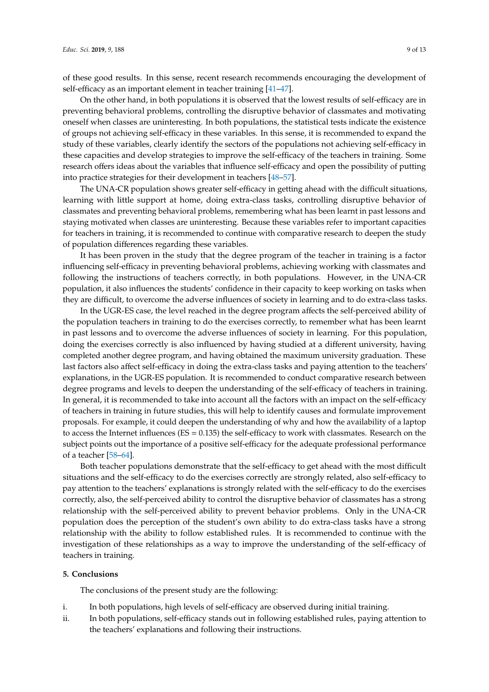of these good results. In this sense, recent research recommends encouraging the development of self-efficacy as an important element in teacher training [\[41–](#page-11-4)[47\]](#page-12-0).

On the other hand, in both populations it is observed that the lowest results of self-efficacy are in preventing behavioral problems, controlling the disruptive behavior of classmates and motivating oneself when classes are uninteresting. In both populations, the statistical tests indicate the existence of groups not achieving self-efficacy in these variables. In this sense, it is recommended to expand the study of these variables, clearly identify the sectors of the populations not achieving self-efficacy in these capacities and develop strategies to improve the self-efficacy of the teachers in training. Some research offers ideas about the variables that influence self-efficacy and open the possibility of putting into practice strategies for their development in teachers [\[48](#page-12-1)[–57\]](#page-12-2).

The UNA-CR population shows greater self-efficacy in getting ahead with the difficult situations, learning with little support at home, doing extra-class tasks, controlling disruptive behavior of classmates and preventing behavioral problems, remembering what has been learnt in past lessons and staying motivated when classes are uninteresting. Because these variables refer to important capacities for teachers in training, it is recommended to continue with comparative research to deepen the study of population differences regarding these variables.

It has been proven in the study that the degree program of the teacher in training is a factor influencing self-efficacy in preventing behavioral problems, achieving working with classmates and following the instructions of teachers correctly, in both populations. However, in the UNA-CR population, it also influences the students' confidence in their capacity to keep working on tasks when they are difficult, to overcome the adverse influences of society in learning and to do extra-class tasks.

In the UGR-ES case, the level reached in the degree program affects the self-perceived ability of the population teachers in training to do the exercises correctly, to remember what has been learnt in past lessons and to overcome the adverse influences of society in learning. For this population, doing the exercises correctly is also influenced by having studied at a different university, having completed another degree program, and having obtained the maximum university graduation. These last factors also affect self-efficacy in doing the extra-class tasks and paying attention to the teachers' explanations, in the UGR-ES population. It is recommended to conduct comparative research between degree programs and levels to deepen the understanding of the self-efficacy of teachers in training. In general, it is recommended to take into account all the factors with an impact on the self-efficacy of teachers in training in future studies, this will help to identify causes and formulate improvement proposals. For example, it could deepen the understanding of why and how the availability of a laptop to access the Internet influences (ES = 0.135) the self-efficacy to work with classmates. Research on the subject points out the importance of a positive self-efficacy for the adequate professional performance of a teacher [\[58–](#page-12-3)[64\]](#page-12-4).

Both teacher populations demonstrate that the self-efficacy to get ahead with the most difficult situations and the self-efficacy to do the exercises correctly are strongly related, also self-efficacy to pay attention to the teachers' explanations is strongly related with the self-efficacy to do the exercises correctly, also, the self-perceived ability to control the disruptive behavior of classmates has a strong relationship with the self-perceived ability to prevent behavior problems. Only in the UNA-CR population does the perception of the student's own ability to do extra-class tasks have a strong relationship with the ability to follow established rules. It is recommended to continue with the investigation of these relationships as a way to improve the understanding of the self-efficacy of teachers in training.

#### **5. Conclusions**

The conclusions of the present study are the following:

- i. In both populations, high levels of self-efficacy are observed during initial training.
- ii. In both populations, self-efficacy stands out in following established rules, paying attention to the teachers' explanations and following their instructions.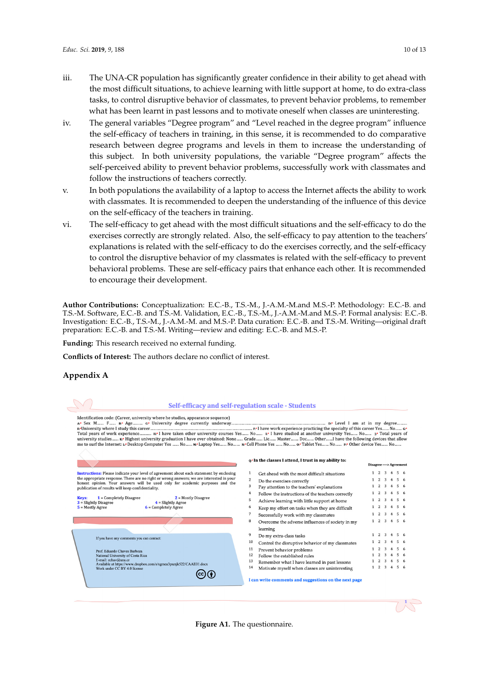- iii. The UNA-CR population has significantly greater confidence in their ability to get ahead with the most difficult situations, to achieve learning with little support at home, to do extra-class tasks, to control disruptive behavior of classmates, to prevent behavior problems, to remember what has been learnt in past lessons and to motivate oneself when classes are uninteresting.
- iv. The general variables "Degree program" and "Level reached in the degree program" influence the self-efficacy of teachers in training, in this sense, it is recommended to do comparative research between degree programs and levels in them to increase the understanding of this subject. In both university populations, the variable "Degree program" affects the self-perceived ability to prevent behavior problems, successfully work with classmates and follow the instructions of teachers correctly.
- v. In both populations the availability of a laptop to access the Internet affects the ability to work with classmates. It is recommended to deepen the understanding of the influence of this device with classmates. It is recommended to deepen the understanding of the influence of this device
- vi. The self-efficacy to get ahead with the most difficult situations and the self-efficacy to do the vi. The self-efficacy to get ahead with the most difficult situations and the self-efficacy to do the exercises correctly are strongly related. Also, the self-efficacy to pay attention to the teachers' exercises correctly are strongly related. Also, the self-efficacy to pay attention to the teachers'<br>explanations is related with the self-efficacy to do the exercises correctly, and the self-efficacy to control the disruptive behavior of my classmates is related with the self-efficacy to prevent to control the disruptive behavior of my classmates is related with the self-efficacy to prevent.<br>behavioral problems. These are self-efficacy pairs that enhance each other. It is recommended to encourage their development. encourage their development. explanations is related with the self-efficacy to do the exercises correctly, and the self-efficacy to behavioral problems. These are self-efficacy pairs that enhance each other. It is recommended to

**Author Contributions:** Conceptualization: E.C.-B., T.S.-M., J.-A.M.-M.and M.S.-P. Methodology: E.C.-B. and T.S.-M. Software, E.C.-B. and T.S.-M. Validation, E.C.-B., T.S.-M., J.-A.M.-M.and M.S.-P. Formal analysis: E.C.-B. Investigation: E.C.-B., T.S.-M., J.-A.M.-M. and M.S.-P. Data curation: E.C.-B. and T.S.-M. Writing—original draft preparation: E.C.-B. and T.S.-M. Writing—review and editing: E.C.-B. and M.S.-P. **Author Contributions:** Conceptualization: E.C.-B., T.S.-M., J.-A.M.-M.and M.S.-P.. Methodology: E.C.-B. and T.S.-M. Software, E.C.-B. and T.S.-M. Validation, E.C.-B., T.S.-M., J.-A.M.-M.and M.S.-P. Formal analysis: E.C.-B. Investigation: E.C.-B., T.S.-M., J.-A.M.-M. and M.S.-P. Data curation: E.C.-B. and T.S.-M. Writing—original draft

**Funding:** This research received no external funding. **Funding:** This research received no external funding.

**Conflicts of Interest:** The authors declare no conflict of interest.

# **Appendix A Appendix A**

<span id="page-9-0"></span>

#### Self-efficacy and self-regulation scale - Students

|                                                                                                                                                                                                                                                                            | Identification code: (Career, university where he studies, appearance sequence)<br>Total years of work experience H. I have taken other university courses Yes No I. I have studied at another university Yes No I. Total years of<br>university studies K* Highest university graduation I have ever obtained: None Grade Lic Master Doc OtherI have the following devices that allow<br>me to surf the Internet: La Desktop Computer Yes  No M. Laptop Yes  No K. Cell Phone Yes  No o. Tablet Yes  No P. Other device Yes  No |                                                 |                                                       |                          |                    |                         |                |     |  |
|----------------------------------------------------------------------------------------------------------------------------------------------------------------------------------------------------------------------------------------------------------------------------|----------------------------------------------------------------------------------------------------------------------------------------------------------------------------------------------------------------------------------------------------------------------------------------------------------------------------------------------------------------------------------------------------------------------------------------------------------------------------------------------------------------------------------|-------------------------------------------------|-------------------------------------------------------|--------------------------|--------------------|-------------------------|----------------|-----|--|
|                                                                                                                                                                                                                                                                            |                                                                                                                                                                                                                                                                                                                                                                                                                                                                                                                                  |                                                 | Q. In the classes I attend, I trust in my ability to: | Disagree ----> Agreement |                    |                         |                |     |  |
| <b>Instructions:</b> Please indicate your level of agreement about each statement by enclosing<br>the appropriate response. There are no right or wrong answers; we are interested in your<br>honest opinion. Your answers will be used only for academic purposes and the |                                                                                                                                                                                                                                                                                                                                                                                                                                                                                                                                  |                                                 | Get ahead with the most difficult situations          |                          |                    | $1 \t2 \t3 \t4 \t5 \t6$ |                |     |  |
|                                                                                                                                                                                                                                                                            |                                                                                                                                                                                                                                                                                                                                                                                                                                                                                                                                  |                                                 | Do the exercises correctly                            |                          |                    | $1 \t2 \t3$             | $\overline{4}$ | 5   |  |
| publication of results will keep confidentiality.                                                                                                                                                                                                                          |                                                                                                                                                                                                                                                                                                                                                                                                                                                                                                                                  | 3                                               | Pay attention to the teachers' explanations           |                          | $1\quad 2$         | 3                       | $\overline{4}$ | 5   |  |
|                                                                                                                                                                                                                                                                            | $2$ = Mostly Disagree                                                                                                                                                                                                                                                                                                                                                                                                                                                                                                            | 4                                               | Follow the instructions of the teachers correctly     |                          |                    | $1 \t2 \t3 \t4$         |                | 5 6 |  |
| $1 =$ Completely Disagree<br><b>Keys:</b><br>$4 =$ Slightly Agree<br>$3 =$ Slightly Disagree<br>$6 =$ Completely Agree<br>$5 =$ Mostly Agree                                                                                                                               | 5                                                                                                                                                                                                                                                                                                                                                                                                                                                                                                                                | Achieve learning with little support at home    |                                                       |                          | $1 \t2 \t3 \t4$    |                         | 5 6            |     |  |
|                                                                                                                                                                                                                                                                            | 6                                                                                                                                                                                                                                                                                                                                                                                                                                                                                                                                | Keep my effort on tasks when they are difficult |                                                       |                          | $1\ 2\ 3\ 4\ 5\ 6$ |                         |                |     |  |
|                                                                                                                                                                                                                                                                            |                                                                                                                                                                                                                                                                                                                                                                                                                                                                                                                                  | 7                                               | Successfully work with my classmates                  |                          |                    | 1 2 3 4 5 6             |                |     |  |
|                                                                                                                                                                                                                                                                            |                                                                                                                                                                                                                                                                                                                                                                                                                                                                                                                                  | 8                                               | Overcome the adverse influences of society in my      |                          |                    | $1\ 2\ 3\ 4\ 5\ 6$      |                |     |  |
|                                                                                                                                                                                                                                                                            |                                                                                                                                                                                                                                                                                                                                                                                                                                                                                                                                  |                                                 | learning                                              |                          |                    |                         |                |     |  |
| If you have any comments you can contact:                                                                                                                                                                                                                                  |                                                                                                                                                                                                                                                                                                                                                                                                                                                                                                                                  | 9                                               | Do my extra-class tasks                               |                          |                    | $1 \t2 \t3 \t4$         |                | 5 6 |  |
|                                                                                                                                                                                                                                                                            |                                                                                                                                                                                                                                                                                                                                                                                                                                                                                                                                  | 10                                              | Control the disruptive behavior of my classmates      |                          |                    | $1\quad 2\quad 3$       | $\overline{4}$ | 5   |  |
|                                                                                                                                                                                                                                                                            | Prof. Eduardo Chaves Barboza                                                                                                                                                                                                                                                                                                                                                                                                                                                                                                     | 11                                              | Prevent behavior problems                             |                          |                    |                         |                | 5   |  |
|                                                                                                                                                                                                                                                                            | National University of Costa Rica                                                                                                                                                                                                                                                                                                                                                                                                                                                                                                | 12                                              | Follow the established rules                          |                          | $\overline{2}$     | 3                       | $\overline{4}$ | 5   |  |
|                                                                                                                                                                                                                                                                            | E-mail: echav@una.cr<br>Available at https://www.dropbox.com/s/xgmea3pszrjk522/CAAE01.docx                                                                                                                                                                                                                                                                                                                                                                                                                                       | 13                                              | Remember what I have learned in past lessons          |                          |                    |                         |                | 5 6 |  |
| Work under CC BY 4.0 license                                                                                                                                                                                                                                               |                                                                                                                                                                                                                                                                                                                                                                                                                                                                                                                                  | 14                                              | Motivate myself when classes are uninteresting        |                          |                    | $1\ 2\ 3\ 4\ 5\ 6$      |                |     |  |
|                                                                                                                                                                                                                                                                            |                                                                                                                                                                                                                                                                                                                                                                                                                                                                                                                                  |                                                 | I can write comments and suggestions on the next page |                          |                    |                         |                |     |  |

**Figure A1.** The questionnaire. **Figure A1.** The questionnaire.

 $7<sup>1</sup>$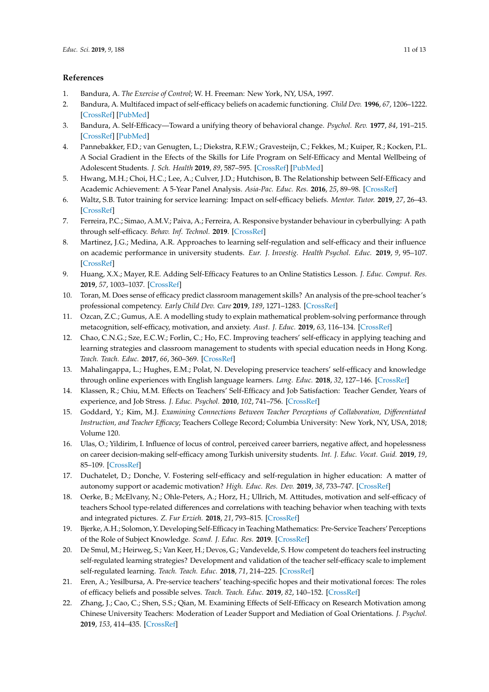### **References**

- <span id="page-10-0"></span>1. Bandura, A. *The Exercise of Control*; W. H. Freeman: New York, NY, USA, 1997.
- 2. Bandura, A. Multifaced impact of self-efficacy beliefs on academic functioning. *Child Dev.* **1996**, *67*, 1206–1222. [\[CrossRef\]](http://dx.doi.org/10.2307/1131888) [\[PubMed\]](http://www.ncbi.nlm.nih.gov/pubmed/8706518)
- <span id="page-10-1"></span>3. Bandura, A. Self-Efficacy—Toward a unifying theory of behavioral change. *Psychol. Rev.* **1977**, *84*, 191–215. [\[CrossRef\]](http://dx.doi.org/10.1037/0033-295X.84.2.191) [\[PubMed\]](http://www.ncbi.nlm.nih.gov/pubmed/847061)
- <span id="page-10-2"></span>4. Pannebakker, F.D.; van Genugten, L.; Diekstra, R.F.W.; Gravesteijn, C.; Fekkes, M.; Kuiper, R.; Kocken, P.L. A Social Gradient in the Efects of the Skills for Life Program on Self-Efficacy and Mental Wellbeing of Adolescent Students. *J. Sch. Health* **2019**, *89*, 587–595. [\[CrossRef\]](http://dx.doi.org/10.1111/josh.12779) [\[PubMed\]](http://www.ncbi.nlm.nih.gov/pubmed/31032979)
- 5. Hwang, M.H.; Choi, H.C.; Lee, A.; Culver, J.D.; Hutchison, B. The Relationship between Self-Efficacy and Academic Achievement: A 5-Year Panel Analysis. *Asia-Pac. Educ. Res.* **2016**, *25*, 89–98. [\[CrossRef\]](http://dx.doi.org/10.1007/s40299-015-0236-3)
- 6. Waltz, S.B. Tutor training for service learning: Impact on self-efficacy beliefs. *Mentor. Tutor.* **2019**, *27*, 26–43. [\[CrossRef\]](http://dx.doi.org/10.1080/13611267.2019.1583405)
- 7. Ferreira, P.C.; Simao, A.M.V.; Paiva, A.; Ferreira, A. Responsive bystander behaviour in cyberbullying: A path through self-efficacy. *Behav. Inf. Technol.* **2019**. [\[CrossRef\]](http://dx.doi.org/10.1080/0144929X.2019.1602671)
- 8. Martinez, J.G.; Medina, A.R. Approaches to learning self-regulation and self-efficacy and their influence on academic performance in university students. *Eur. J. Investig. Health Psychol. Educ.* **2019**, *9*, 95–107. [\[CrossRef\]](http://dx.doi.org/10.30552/ejihpe.v9i2.323)
- 9. Huang, X.X.; Mayer, R.E. Adding Self-Efficacy Features to an Online Statistics Lesson. *J. Educ. Comput. Res.* **2019**, *57*, 1003–1037. [\[CrossRef\]](http://dx.doi.org/10.1177/0735633118771085)
- <span id="page-10-3"></span>10. Toran, M. Does sense of efficacy predict classroom management skills? An analysis of the pre-school teacher's professional competency. *Early Child Dev. Care* **2019**, *189*, 1271–1283. [\[CrossRef\]](http://dx.doi.org/10.1080/03004430.2017.1374258)
- <span id="page-10-4"></span>11. Ozcan, Z.C.; Gumus, A.E. A modelling study to explain mathematical problem-solving performance through metacognition, self-efficacy, motivation, and anxiety. *Aust. J. Educ.* **2019**, *63*, 116–134. [\[CrossRef\]](http://dx.doi.org/10.1177/0004944119840073)
- 12. Chao, C.N.G.; Sze, E.C.W.; Forlin, C.; Ho, F.C. Improving teachers' self-efficacy in applying teaching and learning strategies and classroom management to students with special education needs in Hong Kong. *Teach. Teach. Educ.* **2017**, *66*, 360–369. [\[CrossRef\]](http://dx.doi.org/10.1016/j.tate.2017.05.004)
- 13. Mahalingappa, L.; Hughes, E.M.; Polat, N. Developing preservice teachers' self-efficacy and knowledge through online experiences with English language learners. *Lang. Educ.* **2018**, *32*, 127–146. [\[CrossRef\]](http://dx.doi.org/10.1080/09500782.2017.1417996)
- 14. Klassen, R.; Chiu, M.M. Effects on Teachers' Self-Efficacy and Job Satisfaction: Teacher Gender, Years of experience, and Job Stress. *J. Educ. Psychol.* **2010**, *102*, 741–756. [\[CrossRef\]](http://dx.doi.org/10.1037/a0019237)
- 15. Goddard, Y.; Kim, M.J. *Examining Connections Between Teacher Perceptions of Collaboration, Di*ff*erentiated Instruction, and Teacher E*ffi*cacy*; Teachers College Record; Columbia University: New York, NY, USA, 2018; Volume 120.
- <span id="page-10-5"></span>16. Ulas, O.; Yildirim, I. Influence of locus of control, perceived career barriers, negative affect, and hopelessness on career decision-making self-efficacy among Turkish university students. *Int. J. Educ. Vocat. Guid.* **2019**, *19*, 85–109. [\[CrossRef\]](http://dx.doi.org/10.1007/s10775-018-9370-9)
- <span id="page-10-6"></span>17. Duchatelet, D.; Donche, V. Fostering self-efficacy and self-regulation in higher education: A matter of autonomy support or academic motivation? *High. Educ. Res. Dev.* **2019**, *38*, 733–747. [\[CrossRef\]](http://dx.doi.org/10.1080/07294360.2019.1581143)
- 18. Oerke, B.; McElvany, N.; Ohle-Peters, A.; Horz, H.; Ullrich, M. Attitudes, motivation and self-efficacy of teachers School type-related differences and correlations with teaching behavior when teaching with texts and integrated pictures. *Z. Fur Erzieh.* **2018**, *21*, 793–815. [\[CrossRef\]](http://dx.doi.org/10.1007/s11618-017-0804-9)
- 19. Bjerke, A.H.; Solomon, Y. Developing Self-Efficacy in Teaching Mathematics: Pre-Service Teachers' Perceptions of the Role of Subject Knowledge. *Scand. J. Educ. Res.* **2019**. [\[CrossRef\]](http://dx.doi.org/10.1080/00313831.2019.1595720)
- 20. De Smul, M.; Heirweg, S.; Van Keer, H.; Devos, G.; Vandevelde, S. How competent do teachers feel instructing self-regulated learning strategies? Development and validation of the teacher self-efficacy scale to implement self-regulated learning. *Teach. Teach. Educ.* **2018**, *71*, 214–225. [\[CrossRef\]](http://dx.doi.org/10.1016/j.tate.2018.01.001)
- 21. Eren, A.; Yesilbursa, A. Pre-service teachers' teaching-specific hopes and their motivational forces: The roles of efficacy beliefs and possible selves. *Teach. Teach. Educ.* **2019**, *82*, 140–152. [\[CrossRef\]](http://dx.doi.org/10.1016/j.tate.2019.03.016)
- <span id="page-10-7"></span>22. Zhang, J.; Cao, C.; Shen, S.S.; Qian, M. Examining Effects of Self-Efficacy on Research Motivation among Chinese University Teachers: Moderation of Leader Support and Mediation of Goal Orientations. *J. Psychol.* **2019**, *153*, 414–435. [\[CrossRef\]](http://dx.doi.org/10.1080/00223980.2018.1564230)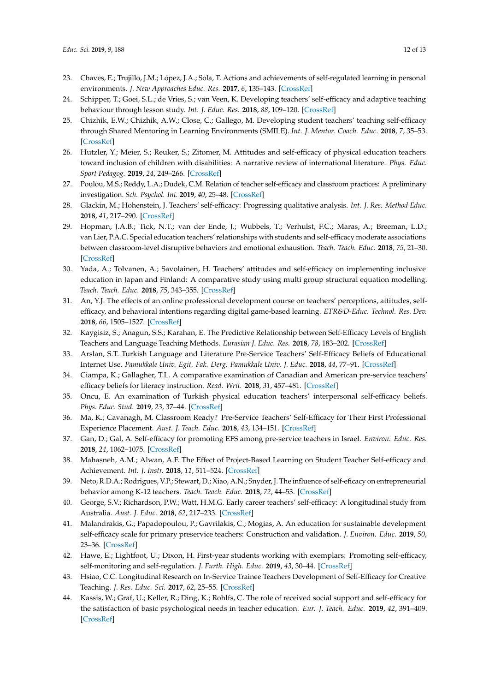- <span id="page-11-0"></span>23. Chaves, E.; Trujillo, J.M.; López, J.A.; Sola, T. Actions and achievements of self-regulated learning in personal environments. *J. New Approaches Educ. Res.* **2017**, *6*, 135–143. [\[CrossRef\]](http://dx.doi.org/10.7821/naer.2017.7.236)
- 24. Schipper, T.; Goei, S.L.; de Vries, S.; van Veen, K. Developing teachers' self-efficacy and adaptive teaching behaviour through lesson study. *Int. J. Educ. Res.* **2018**, *88*, 109–120. [\[CrossRef\]](http://dx.doi.org/10.1016/j.ijer.2018.01.011)
- 25. Chizhik, E.W.; Chizhik, A.W.; Close, C.; Gallego, M. Developing student teachers' teaching self-efficacy through Shared Mentoring in Learning Environments (SMILE). *Int. J. Mentor. Coach. Educ.* **2018**, *7*, 35–53. [\[CrossRef\]](http://dx.doi.org/10.1108/IJMCE-02-2017-0014)
- 26. Hutzler, Y.; Meier, S.; Reuker, S.; Zitomer, M. Attitudes and self-efficacy of physical education teachers toward inclusion of children with disabilities: A narrative review of international literature. *Phys. Educ. Sport Pedagog.* **2019**, *24*, 249–266. [\[CrossRef\]](http://dx.doi.org/10.1080/17408989.2019.1571183)
- 27. Poulou, M.S.; Reddy, L.A.; Dudek, C.M. Relation of teacher self-efficacy and classroom practices: A preliminary investigation. *Sch. Psychol. Int.* **2019**, *40*, 25–48. [\[CrossRef\]](http://dx.doi.org/10.1177/0143034318798045)
- 28. Glackin, M.; Hohenstein, J. Teachers' self-efficacy: Progressing qualitative analysis. *Int. J. Res. Method Educ.* **2018**, *41*, 217–290. [\[CrossRef\]](http://dx.doi.org/10.1080/1743727X.2017.1295940)
- <span id="page-11-1"></span>29. Hopman, J.A.B.; Tick, N.T.; van der Ende, J.; Wubbels, T.; Verhulst, F.C.; Maras, A.; Breeman, L.D.; van Lier, P.A.C. Special education teachers' relationships with students and self-efficacy moderate associations between classroom-level disruptive behaviors and emotional exhaustion. *Teach. Teach. Educ.* **2018**, *75*, 21–30. [\[CrossRef\]](http://dx.doi.org/10.1016/j.tate.2018.06.004)
- <span id="page-11-2"></span>30. Yada, A.; Tolvanen, A.; Savolainen, H. Teachers' attitudes and self-efficacy on implementing inclusive education in Japan and Finland: A comparative study using multi group structural equation modelling. *Teach. Teach. Educ.* **2018**, *75*, 343–355. [\[CrossRef\]](http://dx.doi.org/10.1016/j.tate.2018.07.011)
- 31. An, Y.J. The effects of an online professional development course on teachers' perceptions, attitudes, selfefficacy, and behavioral intentions regarding digital game-based learning. *ETR&D-Educ. Technol. Res. Dev.* **2018**, *66*, 1505–1527. [\[CrossRef\]](http://dx.doi.org/10.1007/s11423-018-9620-z)
- 32. Kaygisiz, S.; Anagun, S.S.; Karahan, E. The Predictive Relationship between Self-Efficacy Levels of English Teachers and Language Teaching Methods. *Eurasian J. Educ. Res.* **2018**, *78*, 183–202. [\[CrossRef\]](http://dx.doi.org/10.14689/ejer.2018.78.9)
- 33. Arslan, S.T. Turkish Language and Literature Pre-Service Teachers' Self-Efficacy Beliefs of Educational Internet Use. *Pamukkale Univ. Egit. Fak. Derg. Pamukkale Univ. J. Educ.* **2018**, *44*, 77–91. [\[CrossRef\]](http://dx.doi.org/10.9779/PUJE.2018.207)
- 34. Ciampa, K.; Gallagher, T.L. A comparative examination of Canadian and American pre-service teachers' efficacy beliefs for literacy instruction. *Read. Writ.* **2018**, *31*, 457–481. [\[CrossRef\]](http://dx.doi.org/10.1007/s11145-017-9793-6)
- 35. Oncu, E. An examination of Turkish physical education teachers' interpersonal self-efficacy beliefs. *Phys. Educ. Stud.* **2019**, *23*, 37–44. [\[CrossRef\]](http://dx.doi.org/10.15561/20755279.2019.0106)
- 36. Ma, K.; Cavanagh, M. Classroom Ready? Pre-Service Teachers' Self-Efficacy for Their First Professional Experience Placement. *Aust. J. Teach. Educ.* **2018**, *43*, 134–151. [\[CrossRef\]](http://dx.doi.org/10.14221/ajte.2018v43n7.8)
- 37. Gan, D.; Gal, A. Self-efficacy for promoting EFS among pre-service teachers in Israel. *Environ. Educ. Res.* **2018**, *24*, 1062–1075. [\[CrossRef\]](http://dx.doi.org/10.1080/13504622.2017.1396288)
- 38. Mahasneh, A.M.; Alwan, A.F. The Effect of Project-Based Learning on Student Teacher Self-efficacy and Achievement. *Int. J. Instr.* **2018**, *11*, 511–524. [\[CrossRef\]](http://dx.doi.org/10.12973/iji.2018.11335a)
- 39. Neto, R.D.A.; Rodrigues, V.P.; Stewart, D.; Xiao, A.N.; Snyder, J. The influence of self-eficacy on entrepreneurial behavior among K-12 teachers. *Teach. Teach. Educ.* **2018**, *72*, 44–53. [\[CrossRef\]](http://dx.doi.org/10.1016/j.tate.2018.02.012)
- <span id="page-11-3"></span>40. George, S.V.; Richardson, P.W.; Watt, H.M.G. Early career teachers' self-efficacy: A longitudinal study from Australia. *Aust. J. Educ.* **2018**, *62*, 217–233. [\[CrossRef\]](http://dx.doi.org/10.1177/0004944118779601)
- <span id="page-11-4"></span>41. Malandrakis, G.; Papadopoulou, P.; Gavrilakis, C.; Mogias, A. An education for sustainable development self-efficacy scale for primary preservice teachers: Construction and validation. *J. Environ. Educ.* **2019**, *50*, 23–36. [\[CrossRef\]](http://dx.doi.org/10.1080/00958964.2018.1492366)
- 42. Hawe, E.; Lightfoot, U.; Dixon, H. First-year students working with exemplars: Promoting self-efficacy, self-monitoring and self-regulation. *J. Furth. High. Educ.* **2019**, *43*, 30–44. [\[CrossRef\]](http://dx.doi.org/10.1080/0309877X.2017.1349894)
- 43. Hsiao, C.C. Longitudinal Research on In-Service Trainee Teachers Development of Self-Efficacy for Creative Teaching. *J. Res. Educ. Sci.* **2017**, *62*, 25–55. [\[CrossRef\]](http://dx.doi.org/10.6209/JORIES.2017.62(3).02)
- 44. Kassis, W.; Graf, U.; Keller, R.; Ding, K.; Rohlfs, C. The role of received social support and self-efficacy for the satisfaction of basic psychological needs in teacher education. *Eur. J. Teach. Educ.* **2019**, *42*, 391–409. [\[CrossRef\]](http://dx.doi.org/10.1080/02619768.2019.1576624)